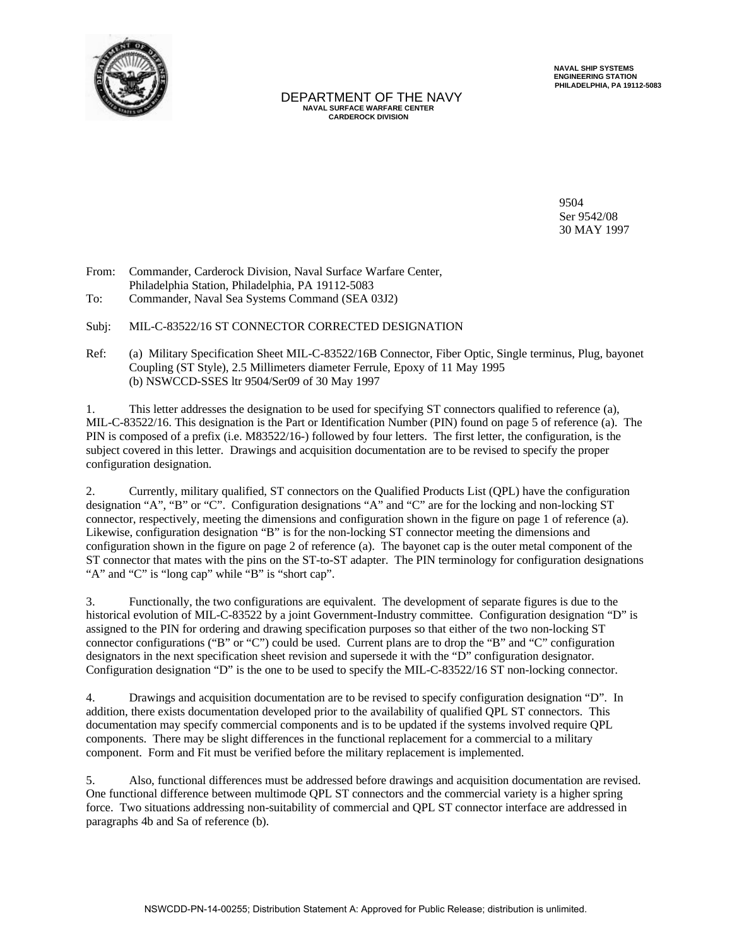

 DEPARTMENT OF THE NAVY  **NAVAL SURFACE WARFARE CENTER CARDEROCK DIVISION**

 **NAVAL SHIP SYSTEMS ENGINEERING STATION PHILADELPHIA, PA 19112-5083**

9504 Ser 9542/08 30 MAY 1997

From: Commander, Carderock Division, Naval Surfac*e* Warfare Center, Philadelphia Station, Philadelphia, PA 19112-5083

To: Commander, Naval Sea Systems Command (SEA 03J2)

Subj: MIL-C-83522/16 ST CONNECTOR CORRECTED DESIGNATION

Ref: (a) Military Specification Sheet MIL-C-83522/16B Connector, Fiber Optic, Single terminus, Plug, bayonet Coupling (ST Style), 2.5 Millimeters diameter Ferrule, Epoxy of 11 May 1995 (b) NSWCCD-SSES ltr 9504/Ser09 of 30 May 1997

1. This letter addresses the designation to be used for specifying ST connectors qualified to reference (a), MIL-C-83522/16. This designation is the Part or Identification Number (PIN) found on page 5 of reference (a). The PIN is composed of a prefix (i.e. M83522/16-) followed by four letters. The first letter, the configuration, is the subject covered in this letter. Drawings and acquisition documentation are to be revised to specify the proper configuration designation.

2. Currently, military qualified, ST connectors on the Qualified Products List (QPL) have the configuration designation "A", "B" or "C". Configuration designations "A" and "C" are for the locking and non-locking ST connector, respectively, meeting the dimensions and configuration shown in the figure on page 1 of reference (a). Likewise, configuration designation "B" is for the non-locking ST connector meeting the dimensions and configuration shown in the figure on page 2 of reference (a). The bayonet cap is the outer metal component of the ST connector that mates with the pins on the ST-to-ST adapter. The PIN terminology for configuration designations "A" and "C" is "long cap" while "B" is "short cap".

3. Functionally, the two configurations are equivalent. The development of separate figures is due to the historical evolution of MIL-C-83522 by a joint Government-Industry committee. Configuration designation "D" is assigned to the PIN for ordering and drawing specification purposes so that either of the two non-locking ST connector configurations ("B" or "C") could be used. Current plans are to drop the "B" and "C" configuration designators in the next specification sheet revision and supersede it with the "D" configuration designator. Configuration designation "D" is the one to be used to specify the MIL-C-83522/16 ST non-locking connector.

4. Drawings and acquisition documentation are to be revised to specify configuration designation "D". In addition, there exists documentation developed prior to the availability of qualified QPL ST connectors. This documentation may specify commercial components and is to be updated if the systems involved require QPL components. There may be slight differences in the functional replacement for a commercial to a military component. Form and Fit must be verified before the military replacement is implemented.

5. Also, functional differences must be addressed before drawings and acquisition documentation are revised. One functional difference between multimode QPL ST connectors and the commercial variety is a higher spring force. Two situations addressing non-suitability of commercial and QPL ST connector interface are addressed in paragraphs 4b and Sa of reference (b).